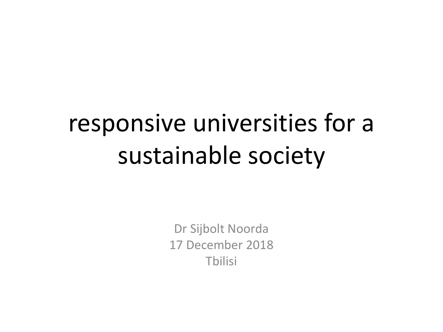### responsive universities for a sustainable society

Dr Sijbolt Noorda 17 December 2018 Tbilisi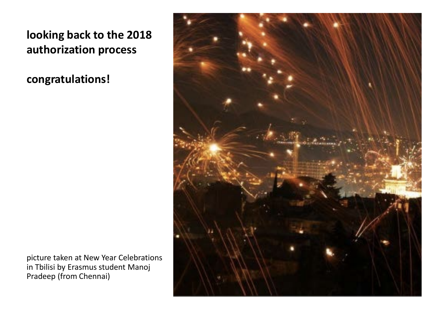**looking back to the 2018 authorization process**

**congratulations!**

picture taken at New Year Celebrations in Tbilisi by Erasmus student Manoj Pradeep (from Chennai)

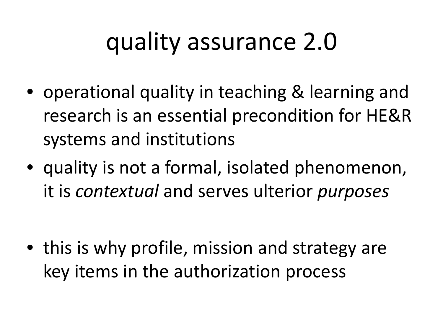## quality assurance 2.0

- operational quality in teaching & learning and research is an essential precondition for HE&R systems and institutions
- quality is not a formal, isolated phenomenon, it is *contextual* and serves ulterior *purposes*

• this is why profile, mission and strategy are key items in the authorization process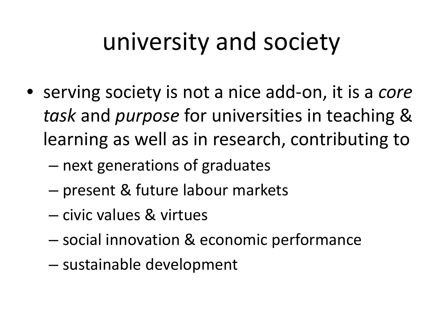### university and society

- serving society is not a nice add-on, it is a *core task* and *purpose* for universities in teaching & learning as well as in research, contributing to
	- next generations of graduates
	- present & future labour markets
	- civic values & virtues
	- social innovation & economic performance
	- sustainable development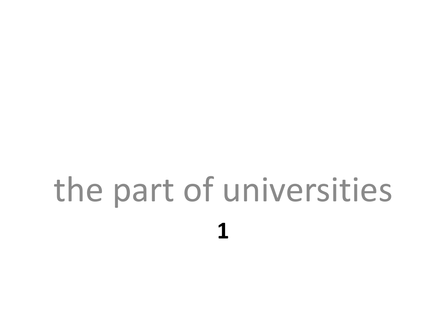# **1** the part of universities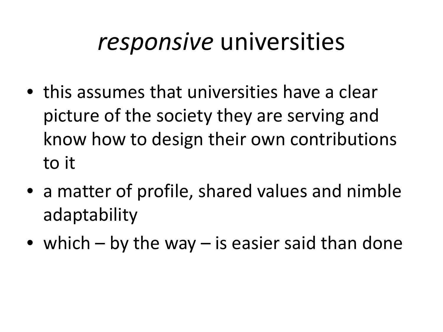#### *responsive* universities

- this assumes that universities have a clear picture of the society they are serving and know how to design their own contributions to it
- a matter of profile, shared values and nimble adaptability
- which by the way is easier said than done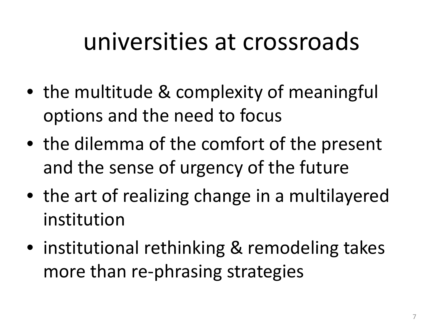#### universities at crossroads

- the multitude & complexity of meaningful options and the need to focus
- the dilemma of the comfort of the present and the sense of urgency of the future
- the art of realizing change in a multilayered institution
- institutional rethinking & remodeling takes more than re-phrasing strategies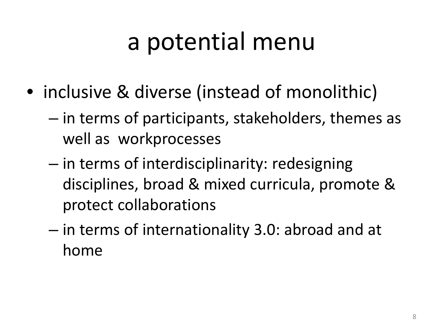### a potential menu

- inclusive & diverse (instead of monolithic)
	- in terms of participants, stakeholders, themes as well as workprocesses
	- in terms of interdisciplinarity: redesigning disciplines, broad & mixed curricula, promote & protect collaborations
	- in terms of internationality 3.0: abroad and at home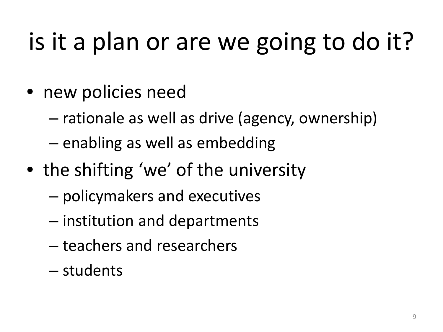## is it a plan or are we going to do it?

- new policies need
	- rationale as well as drive (agency, ownership)
	- enabling as well as embedding
- the shifting 'we' of the university
	- policymakers and executives
	- institution and departments
	- teachers and researchers
	- students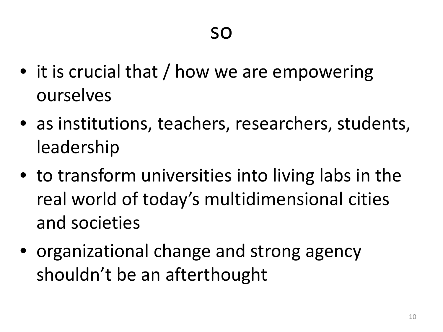- it is crucial that / how we are empowering ourselves
- as institutions, teachers, researchers, students, leadership
- to transform universities into living labs in the real world of today's multidimensional cities and societies
- organizational change and strong agency shouldn't be an afterthought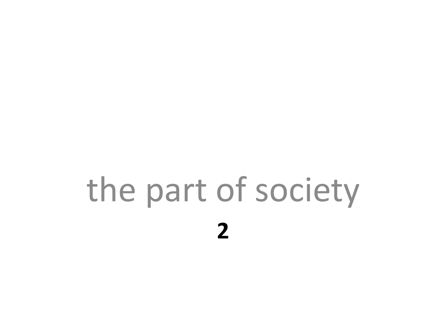# **2** the part of society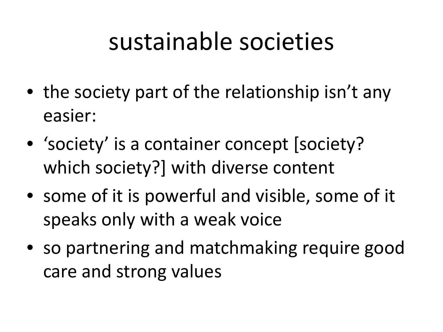#### sustainable societies

- the society part of the relationship isn't any easier:
- 'society' is a container concept [society? which society?] with diverse content
- some of it is powerful and visible, some of it speaks only with a weak voice
- so partnering and matchmaking require good care and strong values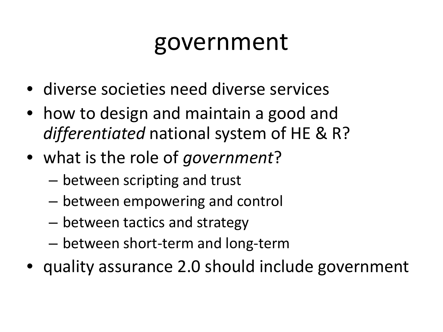#### government

- diverse societies need diverse services
- how to design and maintain a good and *differentiated* national system of HE & R?
- what is the role of *government*?
	- between scripting and trust
	- between empowering and control
	- between tactics and strategy
	- between short-term and long-term
- quality assurance 2.0 should include government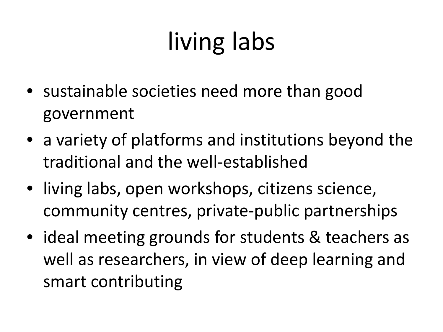## living labs

- sustainable societies need more than good government
- a variety of platforms and institutions beyond the traditional and the well-established
- living labs, open workshops, citizens science, community centres, private-public partnerships
- ideal meeting grounds for students & teachers as well as researchers, in view of deep learning and smart contributing